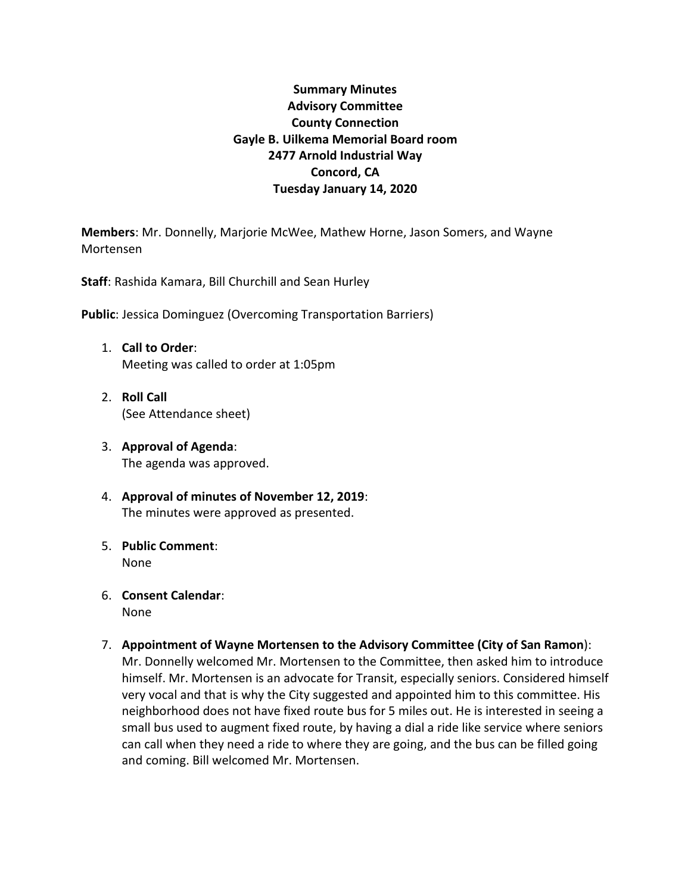# **Summary Minutes Advisory Committee County Connection Gayle B. Uilkema Memorial Board room 2477 Arnold Industrial Way Concord, CA Tuesday January 14, 2020**

**Members**: Mr. Donnelly, Marjorie McWee, Mathew Horne, Jason Somers, and Wayne Mortensen

**Staff**: Rashida Kamara, Bill Churchill and Sean Hurley

**Public**: Jessica Dominguez (Overcoming Transportation Barriers)

- 1. **Call to Order**: Meeting was called to order at 1:05pm
- 2. **Roll Call** (See Attendance sheet)
- 3. **Approval of Agenda**: The agenda was approved.
- 4. **Approval of minutes of November 12, 2019**: The minutes were approved as presented.
- 5. **Public Comment**: None
- 6. **Consent Calendar**: None
- 7. **Appointment of Wayne Mortensen to the Advisory Committee (City of San Ramon**): Mr. Donnelly welcomed Mr. Mortensen to the Committee, then asked him to introduce himself. Mr. Mortensen is an advocate for Transit, especially seniors. Considered himself very vocal and that is why the City suggested and appointed him to this committee. His neighborhood does not have fixed route bus for 5 miles out. He is interested in seeing a small bus used to augment fixed route, by having a dial a ride like service where seniors can call when they need a ride to where they are going, and the bus can be filled going and coming. Bill welcomed Mr. Mortensen.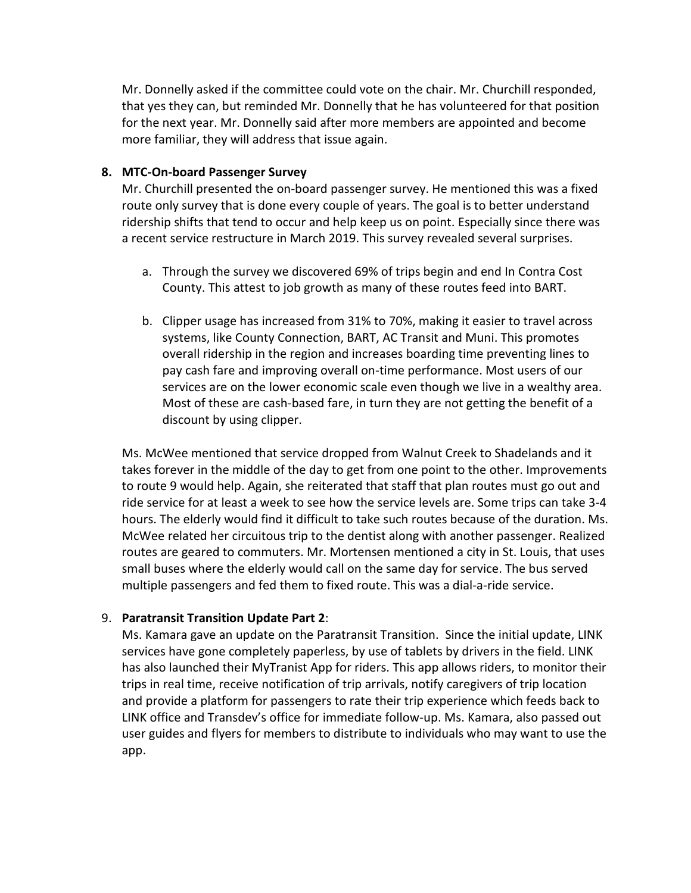Mr. Donnelly asked if the committee could vote on the chair. Mr. Churchill responded, that yes they can, but reminded Mr. Donnelly that he has volunteered for that position for the next year. Mr. Donnelly said after more members are appointed and become more familiar, they will address that issue again.

## **8. MTC-On-board Passenger Survey**

Mr. Churchill presented the on-board passenger survey. He mentioned this was a fixed route only survey that is done every couple of years. The goal is to better understand ridership shifts that tend to occur and help keep us on point. Especially since there was a recent service restructure in March 2019. This survey revealed several surprises.

- a. Through the survey we discovered 69% of trips begin and end In Contra Cost County. This attest to job growth as many of these routes feed into BART.
- b. Clipper usage has increased from 31% to 70%, making it easier to travel across systems, like County Connection, BART, AC Transit and Muni. This promotes overall ridership in the region and increases boarding time preventing lines to pay cash fare and improving overall on-time performance. Most users of our services are on the lower economic scale even though we live in a wealthy area. Most of these are cash-based fare, in turn they are not getting the benefit of a discount by using clipper.

Ms. McWee mentioned that service dropped from Walnut Creek to Shadelands and it takes forever in the middle of the day to get from one point to the other. Improvements to route 9 would help. Again, she reiterated that staff that plan routes must go out and ride service for at least a week to see how the service levels are. Some trips can take 3-4 hours. The elderly would find it difficult to take such routes because of the duration. Ms. McWee related her circuitous trip to the dentist along with another passenger. Realized routes are geared to commuters. Mr. Mortensen mentioned a city in St. Louis, that uses small buses where the elderly would call on the same day for service. The bus served multiple passengers and fed them to fixed route. This was a dial-a-ride service.

## 9. **Paratransit Transition Update Part 2**:

Ms. Kamara gave an update on the Paratransit Transition. Since the initial update, LINK services have gone completely paperless, by use of tablets by drivers in the field. LINK has also launched their MyTranist App for riders. This app allows riders, to monitor their trips in real time, receive notification of trip arrivals, notify caregivers of trip location and provide a platform for passengers to rate their trip experience which feeds back to LINK office and Transdev's office for immediate follow-up. Ms. Kamara, also passed out user guides and flyers for members to distribute to individuals who may want to use the app.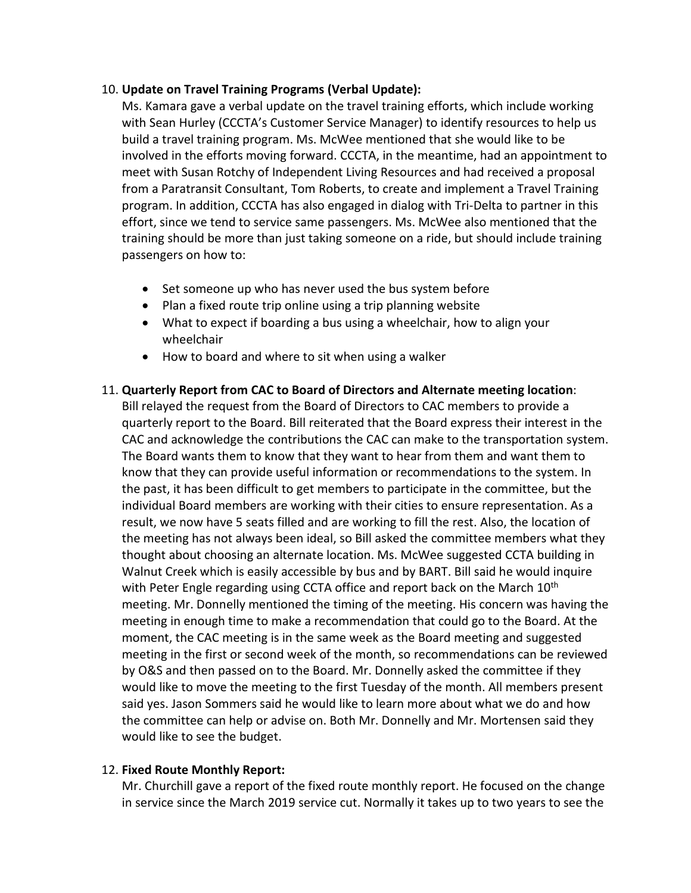## 10. **Update on Travel Training Programs (Verbal Update):**

Ms. Kamara gave a verbal update on the travel training efforts, which include working with Sean Hurley (CCCTA's Customer Service Manager) to identify resources to help us build a travel training program. Ms. McWee mentioned that she would like to be involved in the efforts moving forward. CCCTA, in the meantime, had an appointment to meet with Susan Rotchy of Independent Living Resources and had received a proposal from a Paratransit Consultant, Tom Roberts, to create and implement a Travel Training program. In addition, CCCTA has also engaged in dialog with Tri-Delta to partner in this effort, since we tend to service same passengers. Ms. McWee also mentioned that the training should be more than just taking someone on a ride, but should include training passengers on how to:

- Set someone up who has never used the bus system before
- Plan a fixed route trip online using a trip planning website
- What to expect if boarding a bus using a wheelchair, how to align your wheelchair
- How to board and where to sit when using a walker

## 11. **Quarterly Report from CAC to Board of Directors and Alternate meeting location**:

Bill relayed the request from the Board of Directors to CAC members to provide a quarterly report to the Board. Bill reiterated that the Board express their interest in the CAC and acknowledge the contributions the CAC can make to the transportation system. The Board wants them to know that they want to hear from them and want them to know that they can provide useful information or recommendations to the system. In the past, it has been difficult to get members to participate in the committee, but the individual Board members are working with their cities to ensure representation. As a result, we now have 5 seats filled and are working to fill the rest. Also, the location of the meeting has not always been ideal, so Bill asked the committee members what they thought about choosing an alternate location. Ms. McWee suggested CCTA building in Walnut Creek which is easily accessible by bus and by BART. Bill said he would inquire with Peter Engle regarding using CCTA office and report back on the March  $10<sup>th</sup>$ meeting. Mr. Donnelly mentioned the timing of the meeting. His concern was having the meeting in enough time to make a recommendation that could go to the Board. At the moment, the CAC meeting is in the same week as the Board meeting and suggested meeting in the first or second week of the month, so recommendations can be reviewed by O&S and then passed on to the Board. Mr. Donnelly asked the committee if they would like to move the meeting to the first Tuesday of the month. All members present said yes. Jason Sommers said he would like to learn more about what we do and how the committee can help or advise on. Both Mr. Donnelly and Mr. Mortensen said they would like to see the budget.

## 12. **Fixed Route Monthly Report:**

Mr. Churchill gave a report of the fixed route monthly report. He focused on the change in service since the March 2019 service cut. Normally it takes up to two years to see the